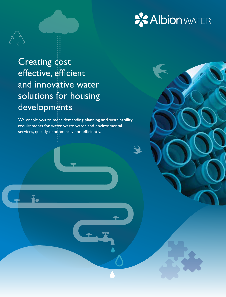

# Creating cost effective, efficient and innovative water solutions for housing developments

We enable you to meet demanding planning and sustainability requirements for water, waste water and environmental services, quickly, economically and efficiently.

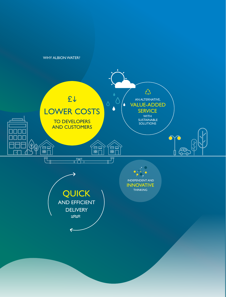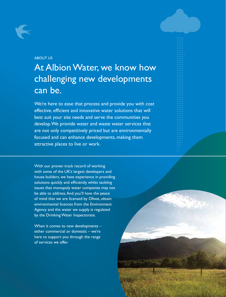### ABOUT US

# At Albion Water, we know how challenging new developments can be.

We're here to ease that process and provide you with cost effective, efficient and innovative water solutions that will best suit your site needs and serve the communities you develop. We provide water and waste water services that are not only competitively priced but are environmentally focused and can enhance developments, making them attractive places to live or work.

With our proven track record of working with some of the UK's largest developers and house builders, we have experience in providing solutions quickly and efficiently whilst tackling issues that monopoly water companies may not be able to address. And you'll have the peace of mind that we are licensed by Ofwat, obtain environmental licences from the Environment Agency and the water we supply is regulated by the Drinking Water Inspectorate.

When it comes to new developments – either commercial or domestic – we're here to support you through the range of services we offer.

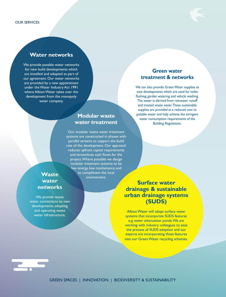### **Water networks**

We provide potable water networks for new build developments which are installed and adopted as part of our agreement. Our water networks are provided by a new appointment under the Water Industry Act 1991 where Albion Water takes over the development from the monopoly water company.

### **Modular waste water treatment**

Our modular waste water treatment systems are constructed in phases with parallel streams to support the build rate of the development. Our approach reduces upfront capital requirements and streamlines cash flows for the project. Where possible we design modular treatment systems to be low energy, low maintenance and **Waste Waste b** to compliment the local **waste** 

## **water networks**

We provide waste water connections to new developments, adopting and operating waste water infrastructure.

### **Green water treatment & networks**

We can also provide Green Water supplies to new developments which are used for toilet flushing, garden watering and vehicle washing. The water is derived from rainwater runoff and treated waste water. These sustainable supplies are provided at a reduced cost to potable water and help achieve the stringent water consumption requirements of the Building Regulations.

### **Surface water drainage & sustainable urban drainage systems (SUDS)**

Albion Water will adopt surface water systems that incorporate SUDS features e.g. water attenuation ponds. We are working with industry colleagues to ease the process of SUDS adoption and our experts are incorporating these features into our Green Water recycling schemes.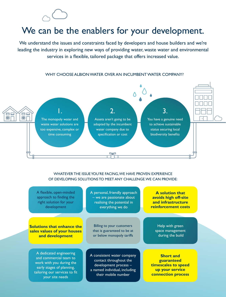# We can be the enablers for your development.

We understand the issues and constraints faced by developers and house builders and we're leading the industry in exploring new ways of providing water, waste water and environmental services in a flexible, tailored package that offers increased value.



#### WHY CHOOSE ALBION WATER OVER AN INCUMBENT WATER COMPANY?

WHATEVER THE ISSUE YOU'RE FACING, WE HAVE PROVEN EXPERIENCE OF DEVELOPING SOLUTIONS TO MEET ANY CHALLENGE. WE CAN PROVIDE:

| A flexible, open-minded                                                                                                                                        | A personal, friendly approach                                                                                                         | <b>A</b> solution that                                                                                |
|----------------------------------------------------------------------------------------------------------------------------------------------------------------|---------------------------------------------------------------------------------------------------------------------------------------|-------------------------------------------------------------------------------------------------------|
| approach to finding the                                                                                                                                        | - we are passionate about                                                                                                             | avoids high off-site                                                                                  |
| right solution for your                                                                                                                                        | realising the potential in                                                                                                            | and infrastructure                                                                                    |
| development                                                                                                                                                    | everything we do                                                                                                                      | reinforcement costs                                                                                   |
|                                                                                                                                                                |                                                                                                                                       |                                                                                                       |
| <b>Solutions that enhance the</b>                                                                                                                              | Billing to your customers                                                                                                             | Help with green                                                                                       |
| sales values of your houses                                                                                                                                    | that is guaranteed to be at                                                                                                           | space management                                                                                      |
| and development                                                                                                                                                | or below monopoly tariffs                                                                                                             | during the build                                                                                      |
| A dedicated engineering<br>and commercial team to<br>work with you during the<br>early stages of planning,<br>tailoring our services to fit<br>your site needs | A consistent water company<br>contact throughout the<br>development process -<br>a named individual, including<br>their mobile number | <b>Short and</b><br>guaranteed<br>timescales to speed<br>up your service<br><b>connection process</b> |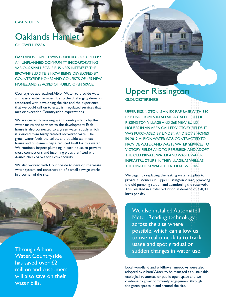CASE STUDIES

# Oaklands Hamlet

CHIGWELL, ESSEX

OAKLANDS HAMLET WAS FORMERLY OCCUPIED BY AN UNPLANNED COMMUNITY INCORPORATING VARIOUS SMALL SCALE BUSINESS INTERESTS. THE BROWNFIELD SITE IS NOW BEING DEVELOPED BY COUNTRYSIDE HOMES AND CONSISTS OF 425 NEW HOMES, AND 25 ACRES OF PUBLIC OPEN SPACE.

Countryside approached Albion Water to provide water and waste water services due to the challenging demands associated with developing the site and the experience that we could call on to establish regulated services that met or exceeded Countryside's expectations.

We are currently working with Countryside to lay the water mains and services to the development. Each house is also connected to a green water supply which is sourced from highly treated recovered water. The green water feeds the toilets and outside tap in each house and customers pay a reduced tariff for this water. We routinely inspect plumbing in each house to prevent cross connections and incoming pipes are fitted with double check valves for extra security.

We also worked with Countryside to develop the waste water system and construction of a small sewage works in a corner of the site.

has saved over £2 million and customers will also save on their water bills.

## Upper Rissington **GLOUCESTERSHIRE**

John Rissingston view Mitchell Way

UPPER RISSINGTON IS AN EX-RAF BASE WITH 350 EXISTING HOMES IN AN AREA CALLED UPPER RISSINGTON VILLAGE AND 368 NEW BUILD HOUSES IN AN AREA CALLED VICTORY FIELDS. IT WAS PURCHASED BY LINDEN AND BOVIS HOMES IN 2012. ALBION WATER WAS CONTRACTED TO PROVIDE WATER AND WASTE WATER SERVICES TO VICTORY FIELDS AND TO REFURBISH AND ADOPT THE OLD PRIVATE WATER AND WASTE WATER INFRASTRUCTURE IN THE VILLAGE, AS WELL AS THE ON-SITE SEWAGE TREATMENT WORKS.

We began by replacing the leaking water supplies to private customers in Upper Rissington village, removing the old pumping station and abandoning the reservoir. This resulted in a total reduction in demand of 750,000 litres per day.

We also installed Automated Meter Reading technology across the site where possible, which can allow us to use real time data to track Through Albion susage and spot gradual or sudden changes in water use.

> Local woodland and wildflower meadows were also adopted by Albion Water to be managed as sustainable ecological resources or public open space and we continue to grow community engagement through the green spaces in and around the site.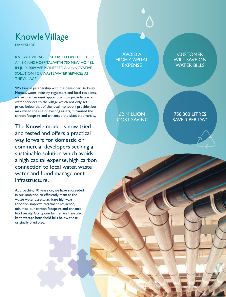# Knowle Village

**HAMPSHIRE** 

KNOWLE VILLAGE IS SITUATED ON THE SITE OF AN EX-NHS HOSPITAL WITH 750 NEW HOMES. IN JULY 2009, WE PIONEERED AN INNOVATIVE SOLUTION FOR WASTE WATER SERVICES AT THE VILLAGE.

Working in partnership with the developer Berkeley Homes, water industry regulators and local residents, we secured an inset appointment to provide waste water services to the village which not only set prices below that of the local monopoly provider, but maximised the use of existing assets, minimised the carbon footprint and enhanced the site's biodiversity.

The Knowle model is now tried and tested and offers a practical way forward for domestic or commercial developers seeking a sustainable solution which avoids a high capital expense, high carbon connection to local water, waste water and flood management infrastructure.

Approaching 10 years on, we have succeeded in our ambition to efficiently manage the waste water assets, facilitate highways adoption, improve treatment resilience, minimise our carbon footprint and enhance biodiversity. Going one further, we have also kept average household bills below those originally predicted.

AVOID A HIGH CAPITAL EXPENSE

**CUSTOMER** WILL SAVE ON WATER BILLS

£2 MILLION COST SAVING

750,000 LITRES SAVED PER DAY